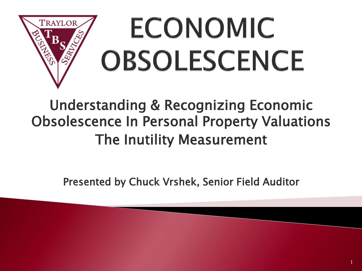

### Understanding & Recognizing Economic Obsolescence In Personal Property Valuations The Inutility Measurement

Presented by Chuck Vrshek, Senior Field Auditor

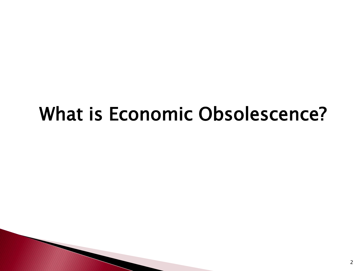# What is Economic Obsolescence?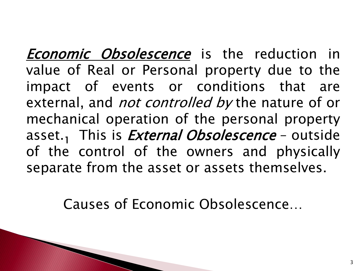**Economic Obsolescence** is the reduction in value of Real or Personal property due to the impact of events or conditions that are external, and *not controlled by* the nature of or mechanical operation of the personal property asset.<sub>1</sub> This is *External Obsolescence* – outside of the control of the owners and physically separate from the asset or assets themselves.

Causes of Economic Obsolescence…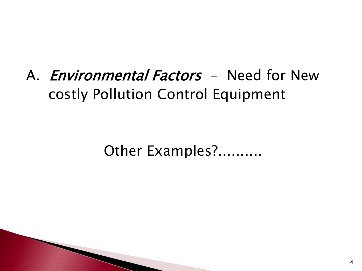## A. *Environmental Factors* - Need for New costly Pollution Control Equipment

Other Examples?..........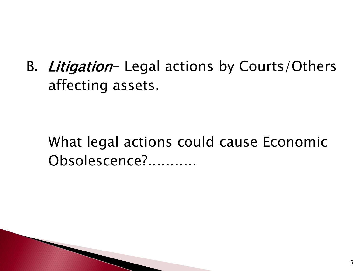B. Litigation- Legal actions by Courts/Others affecting assets.

 What legal actions could cause Economic Obsolescence?...........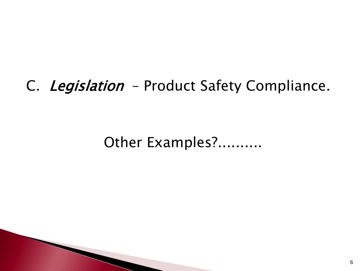#### C. Legislation - Product Safety Compliance.

Other Examples?..........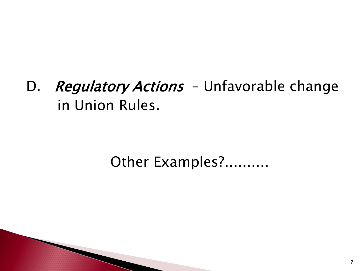D. Regulatory Actions - Unfavorable change in Union Rules.

#### Other Examples?..........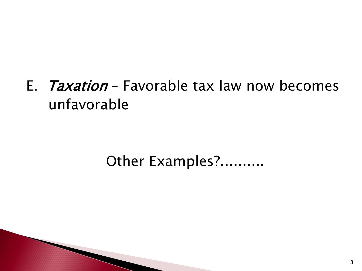E. Taxation – Favorable tax law now becomes unfavorable

#### Other Examples?..........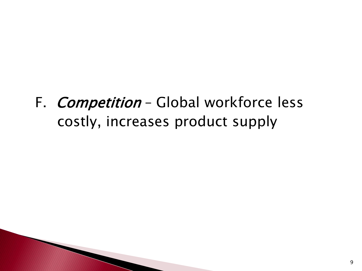F. *Competition* - Global workforce less costly, increases product supply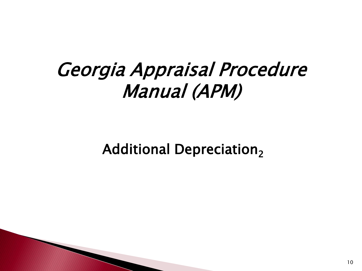## Georgia Appraisal Procedure Manual (APM)

Additional Depreciation $_{2}$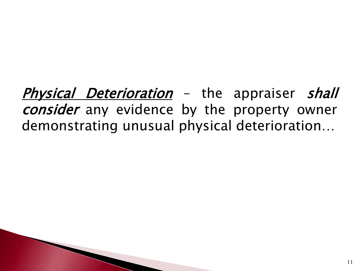**Physical Deterioration** – the appraiser shall consider any evidence by the property owner demonstrating unusual physical deterioration…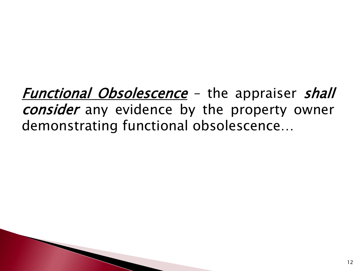Functional Obsolescence - the appraiser shall consider any evidence by the property owner demonstrating functional obsolescence…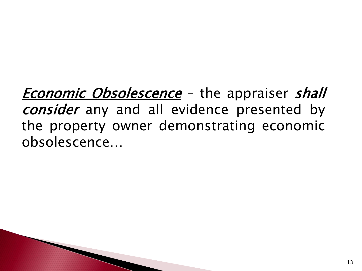**Economic Obsolescence** – the appraiser shall consider any and all evidence presented by the property owner demonstrating economic obsolescence…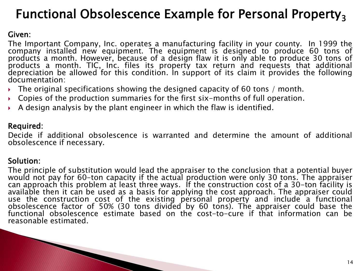#### Functional Obsolescence Example for Personal Property<sub>3</sub>

#### Given:

The Important Company, Inc. operates a manufacturing facility in your county. In 1999 the company installed new equipment. The equipment is designed to produce 60 tons of products a month. However, because of a design flaw it is only able to produce 30 tons of products a month. TIC, Inc. files its property tax return and requests that additional depreciation be allowed for this condition. In support of its claim it provides the following documentation:

- The original specifications showing the designed capacity of 60 tons / month.
- Copies of the production summaries for the first six-months of full operation.
- A design analysis by the plant engineer in which the flaw is identified.

#### Required:

Decide if additional obsolescence is warranted and determine the amount of additional obsolescence if necessary.

#### Solution:

The principle of substitution would lead the appraiser to the conclusion that a potential buyer would not pay for 60-ton capacity if the actual production were only 30 tons. The appraiser can approach this problem at least three ways. If the construction cost of a 30-ton facility is available then it can be used as a basis for applying the cost approach. The appraiser could use the construction cost of the existing personal property and include a functional obsolescence factor of 50% (30 tons divided by 60 tons). The appraiser could base the functional obsolescence estimate based on the cost-to-cure if that information can be reasonable estimated.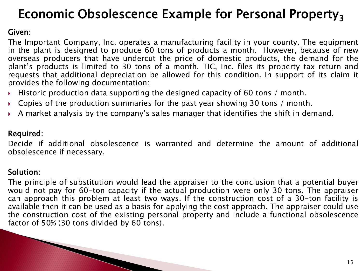#### Economic Obsolescence Example for Personal Property<sub>3</sub>

#### Given:

The Important Company, Inc. operates a manufacturing facility in your county. The equipment in the plant is designed to produce 60 tons of products a month. However, because of new overseas producers that have undercut the price of domestic products, the demand for the plant's products is limited to 30 tons of a month. TIC, Inc. files its property tax return and requests that additional depreciation be allowed for this condition. In support of its claim it provides the following documentation:

- Historic production data supporting the designed capacity of 60 tons / month.
- Copies of the production summaries for the past year showing 30 tons / month.
- A market analysis by the company's sales manager that identifies the shift in demand.

#### Required:

Decide if additional obsolescence is warranted and determine the amount of additional obsolescence if necessary.

#### Solution:

The principle of substitution would lead the appraiser to the conclusion that a potential buyer would not pay for 60-ton capacity if the actual production were only 30 tons. The appraiser can approach this problem at least two ways. If the construction cost of a 30-ton facility is available then it can be used as a basis for applying the cost approach. The appraiser could use the construction cost of the existing personal property and include a functional obsolescence factor of 50% (30 tons divided by 60 tons).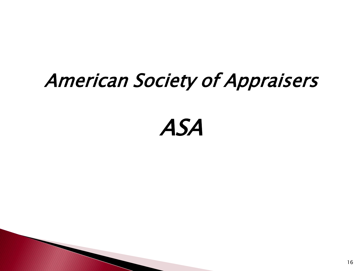# American Society of Appraisers

# ASA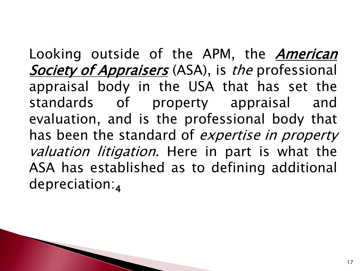Looking outside of the APM, the *American* Society of Appraisers (ASA), is the professional appraisal body in the USA that has set the standards of property appraisal and evaluation, and is the professional body that has been the standard of *expertise in property* valuation litigation. Here in part is what the ASA has established as to defining additional depreciation:<sup>4</sup>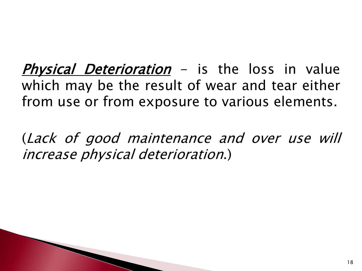**Physical Deterioration** – is the loss in value which may be the result of wear and tear either from use or from exposure to various elements.

(Lack of good maintenance and over use will increase physical deterioration.)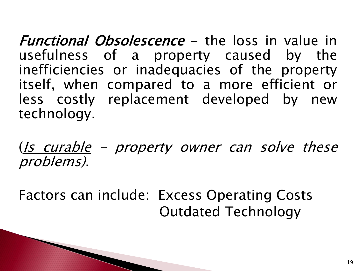**Functional Obsolescence** – the loss in value in usefulness of a property caused by the inefficiencies or inadequacies of the property itself, when compared to a more efficient or less costly replacement developed by new technology.

(Is curable – property owner can solve these problems).

Factors can include: Excess Operating Costs Outdated Technology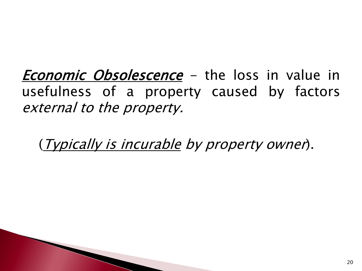**Economic Obsolescence** - the loss in value in usefulness of a property caused by factors external to the property.

(Typically is incurable by property owner).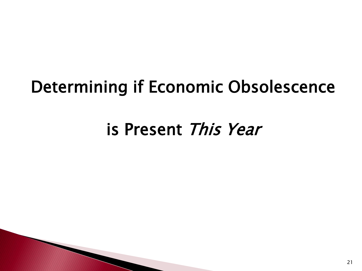## Determining if Economic Obsolescence

## is Present This Year

**CONTRACTOR**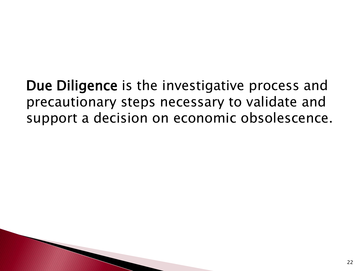Due Diligence is the investigative process and precautionary steps necessary to validate and support a decision on economic obsolescence.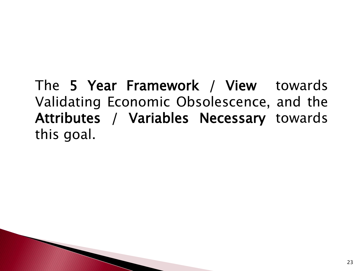The 5 Year Framework / View towards Validating Economic Obsolescence, and the Attributes / Variables Necessary towards this goal.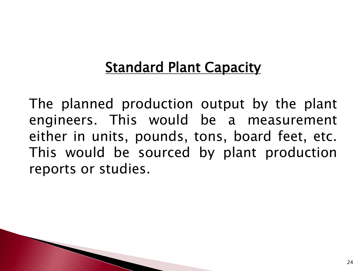### **Standard Plant Capacity**

The planned production output by the plant engineers. This would be a measurement either in units, pounds, tons, board feet, etc. This would be sourced by plant production reports or studies.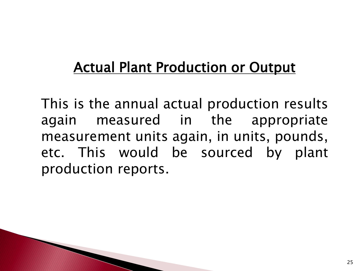### Actual Plant Production or Output

This is the annual actual production results again measured in the appropriate measurement units again, in units, pounds, etc. This would be sourced by plant production reports.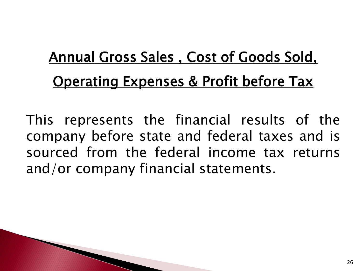# Annual Gross Sales , Cost of Goods Sold, **Operating Expenses & Profit before Tax**

This represents the financial results of the company before state and federal taxes and is sourced from the federal income tax returns and/or company financial statements.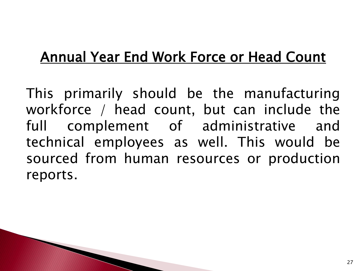### Annual Year End Work Force or Head Count

This primarily should be the manufacturing workforce / head count, but can include the full complement of administrative and technical employees as well. This would be sourced from human resources or production reports.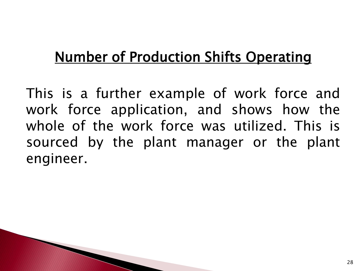## Number of Production Shifts Operating

This is a further example of work force and work force application, and shows how the whole of the work force was utilized. This is sourced by the plant manager or the plant engineer.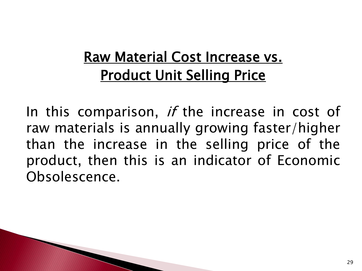### Raw Material Cost Increase vs. Product Unit Selling Price

In this comparison, if the increase in cost of raw materials is annually growing faster/higher than the increase in the selling price of the product, then this is an indicator of Economic Obsolescence.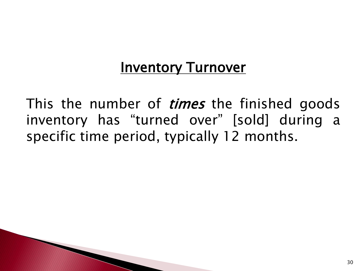#### **Inventory Turnover**

This the number of *times* the finished goods inventory has "turned over" [sold] during a specific time period, typically 12 months.

**The Comment of Comment Comment Comment**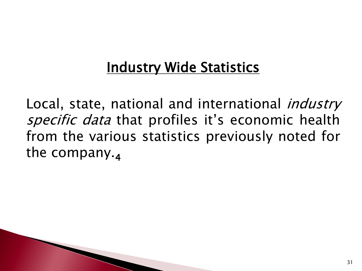### **Industry Wide Statistics**

Local, state, national and international *industry* specific data that profiles it's economic health from the various statistics previously noted for the company. $_4$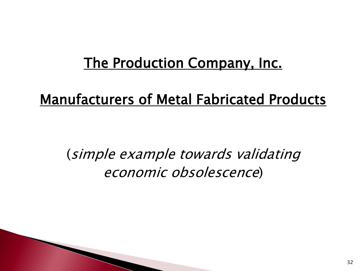#### The Production Company, Inc.

#### Manufacturers of Metal Fabricated Products

(simple example towards validating economic obsolescence)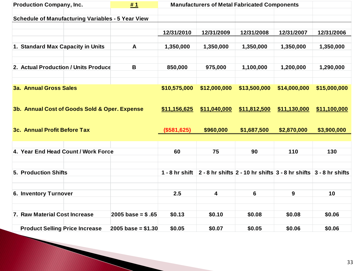| <b>Production Company, Inc.</b>                          | <b>Manufacturers of Metal Fabricated Components</b> |                  |              |                                                                        |              |              |
|----------------------------------------------------------|-----------------------------------------------------|------------------|--------------|------------------------------------------------------------------------|--------------|--------------|
|                                                          |                                                     |                  |              |                                                                        |              |              |
| <b>Schedule of Manufacturing Variables - 5 Year View</b> |                                                     |                  |              |                                                                        |              |              |
|                                                          |                                                     |                  |              |                                                                        |              |              |
|                                                          |                                                     | 12/31/2010       | 12/31/2009   | 12/31/2008                                                             | 12/31/2007   | 12/31/2006   |
| 1. Standard Max Capacity in Units                        | A                                                   | 1,350,000        | 1,350,000    | 1,350,000                                                              | 1,350,000    | 1,350,000    |
|                                                          |                                                     |                  |              |                                                                        |              |              |
|                                                          |                                                     |                  |              |                                                                        |              |              |
| 2. Actual Production / Units Produce                     | B                                                   | 850,000          | 975,000      | 1,100,000                                                              | 1,200,000    | 1,290,000    |
|                                                          |                                                     |                  |              |                                                                        |              |              |
|                                                          |                                                     |                  |              |                                                                        |              |              |
| <b>3a. Annual Gross Sales</b>                            |                                                     | \$10,575,000     | \$12,000,000 | \$13,500,000                                                           | \$14,000,000 | \$15,000,000 |
|                                                          |                                                     |                  |              |                                                                        |              |              |
|                                                          |                                                     |                  |              |                                                                        |              |              |
| 3b. Annual Cost of Goods Sold & Oper. Expense            |                                                     | \$11,156,625     | \$11,040,000 | \$11,812,500                                                           | \$11,130,000 | \$11,100,000 |
|                                                          |                                                     |                  |              |                                                                        |              |              |
| 3c. Annual Profit Before Tax                             |                                                     | (\$581,625)      | \$960,000    | \$1,687,500                                                            | \$2,870,000  | \$3,900,000  |
|                                                          |                                                     |                  |              |                                                                        |              |              |
|                                                          |                                                     |                  |              |                                                                        |              |              |
| 4. Year End Head Count / Work Force                      |                                                     | 60               | 75           | 90                                                                     | 110          | 130          |
|                                                          |                                                     |                  |              |                                                                        |              |              |
|                                                          |                                                     |                  |              |                                                                        |              |              |
| <b>5. Production Shifts</b>                              |                                                     | $1 - 8$ hr shift |              | 2 - 8 hr shifts $2 - 10$ hr shifts $3 - 8$ hr shifts $3 - 8$ hr shifts |              |              |
|                                                          |                                                     |                  |              |                                                                        |              |              |
|                                                          |                                                     |                  |              |                                                                        |              |              |
| 6. Inventory Turnover                                    |                                                     | 2.5              | 4            | 6                                                                      | 9            | 10           |
|                                                          |                                                     |                  |              |                                                                        |              |              |
|                                                          |                                                     |                  |              |                                                                        |              |              |
| 7. Raw Material Cost Increase                            | $2005$ base = \$.65                                 | \$0.13           | \$0.10       | \$0.08                                                                 | \$0.08       | \$0.06       |
|                                                          |                                                     | \$0.05           | \$0.07       | \$0.05                                                                 | \$0.06       | \$0.06       |
| <b>Product Selling Price Increase</b>                    | 2005 base = $$1.30$                                 |                  |              |                                                                        |              |              |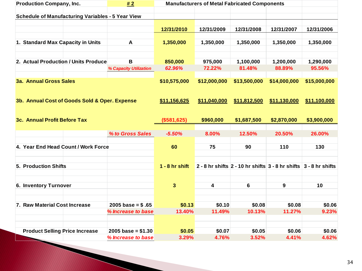| <b>Production Company, Inc.</b><br>#2                    |                                            | <b>Manufacturers of Metal Fabricated Components</b> |                 |                                                                        |                 |                 |
|----------------------------------------------------------|--------------------------------------------|-----------------------------------------------------|-----------------|------------------------------------------------------------------------|-----------------|-----------------|
|                                                          |                                            |                                                     |                 |                                                                        |                 |                 |
| <b>Schedule of Manufacturing Variables - 5 Year View</b> |                                            |                                                     |                 |                                                                        |                 |                 |
|                                                          |                                            | 12/31/2010                                          | 12/31/2009      | 12/31/2008                                                             | 12/31/2007      | 12/31/2006      |
|                                                          |                                            |                                                     |                 |                                                                        |                 |                 |
| 1. Standard Max Capacity in Units                        | A                                          | 1,350,000                                           | 1,350,000       | 1,350,000                                                              | 1,350,000       | 1,350,000       |
|                                                          |                                            |                                                     |                 |                                                                        |                 |                 |
|                                                          |                                            |                                                     |                 |                                                                        |                 |                 |
| 2. Actual Production / Units Produce                     | B                                          | 850,000                                             | 975,000         | 1,100,000                                                              | 1,200,000       | 1,290,000       |
|                                                          | % Capacity Utilization                     | 62.96%                                              | 72.22%          | 81.48%                                                                 | 88.89%          | 95.56%          |
|                                                          |                                            |                                                     |                 |                                                                        |                 |                 |
| <b>3a. Annual Gross Sales</b>                            |                                            | \$10,575,000                                        | \$12,000,000    | \$13,500,000                                                           | \$14,000,000    | \$15,000,000    |
|                                                          |                                            |                                                     |                 |                                                                        |                 |                 |
| 3b. Annual Cost of Goods Sold & Oper. Expense            |                                            | \$11,156,625                                        | \$11,040,000    | \$11,812,500                                                           | \$11,130,000    | \$11,100,000    |
|                                                          |                                            |                                                     |                 |                                                                        |                 |                 |
|                                                          |                                            |                                                     |                 |                                                                        |                 |                 |
| 3c. Annual Profit Before Tax                             |                                            | (\$581,625)                                         | \$960,000       | \$1,687,500                                                            | \$2,870,000     | \$3,900,000     |
|                                                          |                                            |                                                     |                 |                                                                        |                 |                 |
|                                                          | % to Gross Sales                           | $-5.50%$                                            | 8.00%           | 12.50%                                                                 | 20.50%          | 26.00%          |
|                                                          |                                            |                                                     |                 |                                                                        |                 |                 |
| 4. Year End Head Count / Work Force                      |                                            | 60                                                  | 75              | 90                                                                     | 110             | 130             |
|                                                          |                                            |                                                     |                 |                                                                        |                 |                 |
| 5. Production Shifts                                     |                                            | $1 - 8$ hr shift                                    |                 | 2 - 8 hr shifts $2 - 10$ hr shifts $3 - 8$ hr shifts $3 - 8$ hr shifts |                 |                 |
|                                                          |                                            |                                                     |                 |                                                                        |                 |                 |
|                                                          |                                            |                                                     |                 |                                                                        |                 |                 |
| 6. Inventory Turnover                                    |                                            | 3                                                   | 4               | 6                                                                      | 9               | 10              |
|                                                          |                                            |                                                     |                 |                                                                        |                 |                 |
|                                                          |                                            |                                                     |                 |                                                                        |                 |                 |
| 7. Raw Material Cost Increase                            | $2005 \text{ base} = $.65$                 | \$0.13                                              | \$0.10          | \$0.08                                                                 | \$0.08          | \$0.06          |
|                                                          | % Increase to base                         | 13.40%                                              | 11.49%          | 10.13%                                                                 | 11.27%          | 9.23%           |
|                                                          |                                            |                                                     |                 |                                                                        |                 |                 |
|                                                          |                                            |                                                     |                 |                                                                        |                 |                 |
| <b>Product Selling Price Increase</b>                    | $2005$ base = \$1.30<br>% Increase to base | \$0.05<br>3.29%                                     | \$0.07<br>4.76% | \$0.05<br>3.52%                                                        | \$0.06<br>4.41% | \$0.06<br>4.62% |
|                                                          |                                            |                                                     |                 |                                                                        |                 |                 |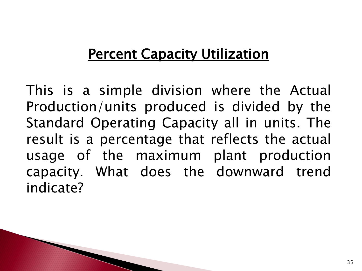#### **Percent Capacity Utilization**

This is a simple division where the Actual Production/units produced is divided by the Standard Operating Capacity all in units. The result is a percentage that reflects the actual usage of the maximum plant production capacity. What does the downward trend indicate?

**The Comment of Comment Comment Comment**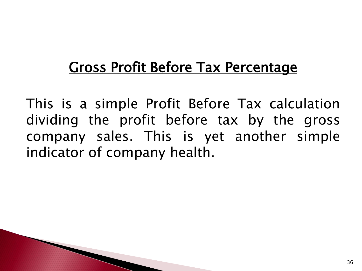### Gross Profit Before Tax Percentage

This is a simple Profit Before Tax calculation dividing the profit before tax by the gross company sales. This is yet another simple indicator of company health.

**The Company of Company**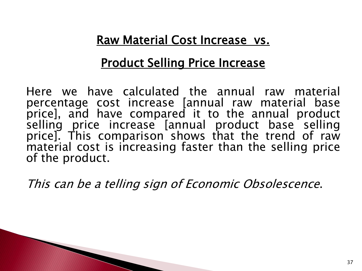#### Raw Material Cost Increase vs.

#### Product Selling Price Increase

Here we have calculated the annual raw material percentage cost increase [annual raw material base price], and have compared it to the annual product selling price increase [annual product base selling price]. This comparison shows that the trend of raw material cost is increasing faster than the selling price of the product.

This can be <sup>a</sup> telling sign of Economic Obsolescence.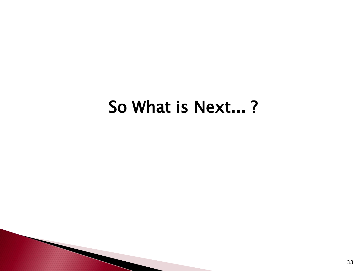## So What is Next... ?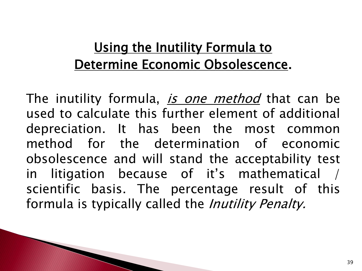#### Using the Inutility Formula to Determine Economic Obsolescence.

The inutility formula, *is one method* that can be used to calculate this further element of additional depreciation. It has been the most common method for the determination of economic obsolescence and will stand the acceptability test in litigation because of it's mathematical / scientific basis. The percentage result of this formula is typically called the *Inutility Penalty.*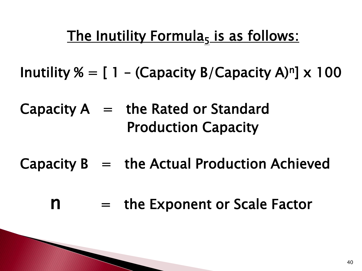### <u>The Inutility Formula<sub>5</sub> is as follows:</u>

Inutility  $\% = [1 - (Capacity B/Capacity A)<sup>n</sup>] \times 100$ 

Capacity  $A =$  the Rated or Standard Production Capacity

- Capacity  $B =$  the Actual Production Achieved
	- $n =$  the Exponent or Scale Factor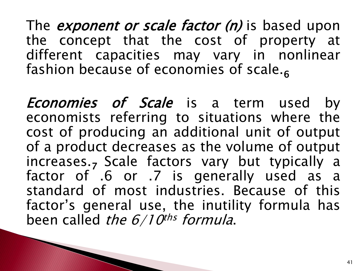The *exponent or scale factor (n)* is based upon the concept that the cost of property at different capacities may vary in nonlinear fashion because of economies of scale.<sub>6</sub>

**Economies of Scale** is a term used by economists referring to situations where the cost of producing an additional unit of output of a product decreases as the volume of output increases.<sub>7</sub> Scale factors vary but typically a factor of .6 or .7 is generally used as a standard of most industries. Because of this factor's general use, the inutility formula has been called *the 6/10<sup>ths</sup> formula*.

PARTY AND THE COMMUNICATION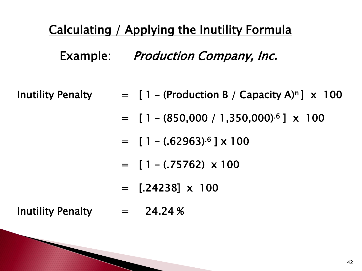#### Calculating / Applying the Inutility Formula

Example: Production Company, Inc.

- Inutility Penalty  $= [1 (Production B / Capacity A)<sup>n</sup>] \times 100$ 
	- $=$  [ 1 (850,000 / 1,350,000)<sup>.6</sup>]  $\times$  100
	- $=$  [ 1 (.62963)<sup>.6</sup> ] x 100
	- $=$  [ 1 (.75762)  $\times$  100
	- $=$  [.24238]  $\times$  100

Inutility Penalty = 24.24 %